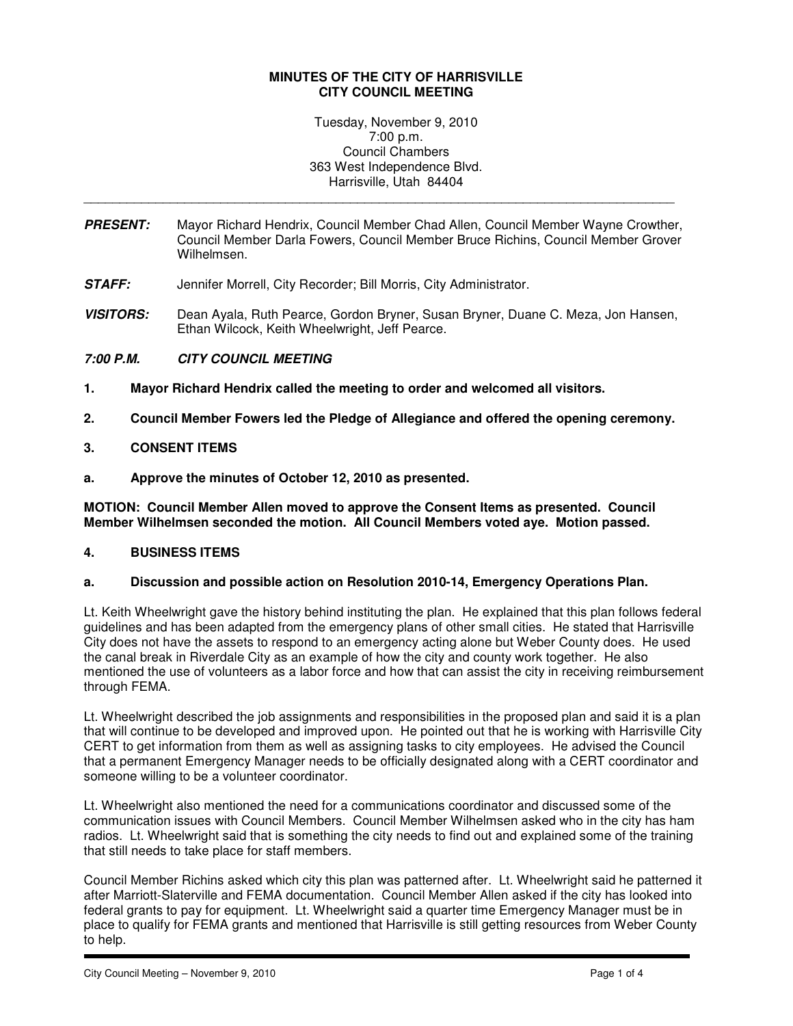### **MINUTES OF THE CITY OF HARRISVILLE CITY COUNCIL MEETING**

Tuesday, November 9, 2010 7:00 p.m. Council Chambers 363 West Independence Blvd. Harrisville, Utah 84404

**PRESENT:** Mayor Richard Hendrix, Council Member Chad Allen, Council Member Wayne Crowther, Council Member Darla Fowers, Council Member Bruce Richins, Council Member Grover Wilhelmsen.

\_\_\_\_\_\_\_\_\_\_\_\_\_\_\_\_\_\_\_\_\_\_\_\_\_\_\_\_\_\_\_\_\_\_\_\_\_\_\_\_\_\_\_\_\_\_\_\_\_\_\_\_\_\_\_\_\_\_\_\_\_\_\_\_\_\_\_\_\_\_\_\_\_\_\_\_\_\_\_\_\_\_

- **STAFF:** Jennifer Morrell, City Recorder; Bill Morris, City Administrator.
- **VISITORS:** Dean Ayala, Ruth Pearce, Gordon Bryner, Susan Bryner, Duane C. Meza, Jon Hansen, Ethan Wilcock, Keith Wheelwright, Jeff Pearce.

# **7:00 P.M. CITY COUNCIL MEETING**

- **1. Mayor Richard Hendrix called the meeting to order and welcomed all visitors.**
- **2. Council Member Fowers led the Pledge of Allegiance and offered the opening ceremony.**
- **3. CONSENT ITEMS**
- **a. Approve the minutes of October 12, 2010 as presented.**

**MOTION: Council Member Allen moved to approve the Consent Items as presented. Council Member Wilhelmsen seconded the motion. All Council Members voted aye. Motion passed.** 

#### **4. BUSINESS ITEMS**

#### **a. Discussion and possible action on Resolution 2010-14, Emergency Operations Plan.**

Lt. Keith Wheelwright gave the history behind instituting the plan. He explained that this plan follows federal guidelines and has been adapted from the emergency plans of other small cities. He stated that Harrisville City does not have the assets to respond to an emergency acting alone but Weber County does. He used the canal break in Riverdale City as an example of how the city and county work together. He also mentioned the use of volunteers as a labor force and how that can assist the city in receiving reimbursement through FEMA.

Lt. Wheelwright described the job assignments and responsibilities in the proposed plan and said it is a plan that will continue to be developed and improved upon. He pointed out that he is working with Harrisville City CERT to get information from them as well as assigning tasks to city employees. He advised the Council that a permanent Emergency Manager needs to be officially designated along with a CERT coordinator and someone willing to be a volunteer coordinator.

Lt. Wheelwright also mentioned the need for a communications coordinator and discussed some of the communication issues with Council Members. Council Member Wilhelmsen asked who in the city has ham radios. Lt. Wheelwright said that is something the city needs to find out and explained some of the training that still needs to take place for staff members.

Council Member Richins asked which city this plan was patterned after. Lt. Wheelwright said he patterned it after Marriott-Slaterville and FEMA documentation. Council Member Allen asked if the city has looked into federal grants to pay for equipment. Lt. Wheelwright said a quarter time Emergency Manager must be in place to qualify for FEMA grants and mentioned that Harrisville is still getting resources from Weber County to help.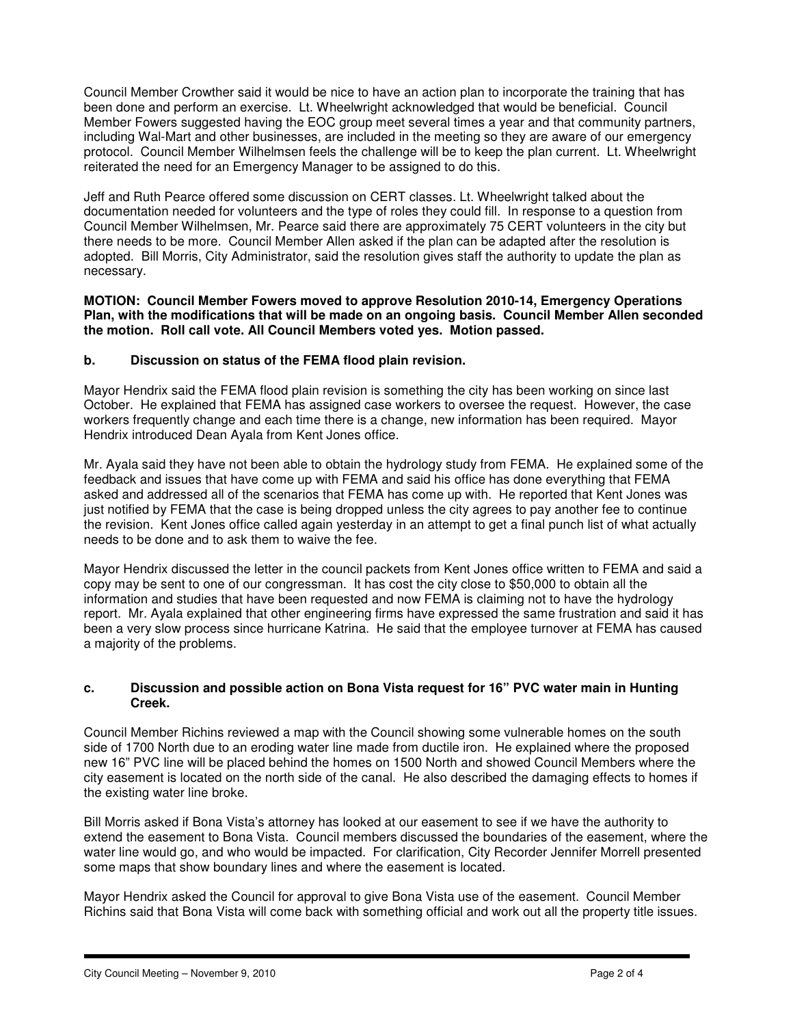Council Member Crowther said it would be nice to have an action plan to incorporate the training that has been done and perform an exercise. Lt. Wheelwright acknowledged that would be beneficial. Council Member Fowers suggested having the EOC group meet several times a year and that community partners, including Wal-Mart and other businesses, are included in the meeting so they are aware of our emergency protocol. Council Member Wilhelmsen feels the challenge will be to keep the plan current. Lt. Wheelwright reiterated the need for an Emergency Manager to be assigned to do this.

Jeff and Ruth Pearce offered some discussion on CERT classes. Lt. Wheelwright talked about the documentation needed for volunteers and the type of roles they could fill. In response to a question from Council Member Wilhelmsen, Mr. Pearce said there are approximately 75 CERT volunteers in the city but there needs to be more. Council Member Allen asked if the plan can be adapted after the resolution is adopted. Bill Morris, City Administrator, said the resolution gives staff the authority to update the plan as necessary.

### **MOTION: Council Member Fowers moved to approve Resolution 2010-14, Emergency Operations Plan, with the modifications that will be made on an ongoing basis. Council Member Allen seconded the motion. Roll call vote. All Council Members voted yes. Motion passed.**

# **b. Discussion on status of the FEMA flood plain revision.**

Mayor Hendrix said the FEMA flood plain revision is something the city has been working on since last October. He explained that FEMA has assigned case workers to oversee the request. However, the case workers frequently change and each time there is a change, new information has been required. Mayor Hendrix introduced Dean Ayala from Kent Jones office.

Mr. Ayala said they have not been able to obtain the hydrology study from FEMA. He explained some of the feedback and issues that have come up with FEMA and said his office has done everything that FEMA asked and addressed all of the scenarios that FEMA has come up with. He reported that Kent Jones was just notified by FEMA that the case is being dropped unless the city agrees to pay another fee to continue the revision. Kent Jones office called again yesterday in an attempt to get a final punch list of what actually needs to be done and to ask them to waive the fee.

Mayor Hendrix discussed the letter in the council packets from Kent Jones office written to FEMA and said a copy may be sent to one of our congressman. It has cost the city close to \$50,000 to obtain all the information and studies that have been requested and now FEMA is claiming not to have the hydrology report. Mr. Ayala explained that other engineering firms have expressed the same frustration and said it has been a very slow process since hurricane Katrina. He said that the employee turnover at FEMA has caused a majority of the problems.

### **c. Discussion and possible action on Bona Vista request for 16" PVC water main in Hunting Creek.**

Council Member Richins reviewed a map with the Council showing some vulnerable homes on the south side of 1700 North due to an eroding water line made from ductile iron. He explained where the proposed new 16" PVC line will be placed behind the homes on 1500 North and showed Council Members where the city easement is located on the north side of the canal. He also described the damaging effects to homes if the existing water line broke.

Bill Morris asked if Bona Vista's attorney has looked at our easement to see if we have the authority to extend the easement to Bona Vista. Council members discussed the boundaries of the easement, where the water line would go, and who would be impacted. For clarification, City Recorder Jennifer Morrell presented some maps that show boundary lines and where the easement is located.

Mayor Hendrix asked the Council for approval to give Bona Vista use of the easement. Council Member Richins said that Bona Vista will come back with something official and work out all the property title issues.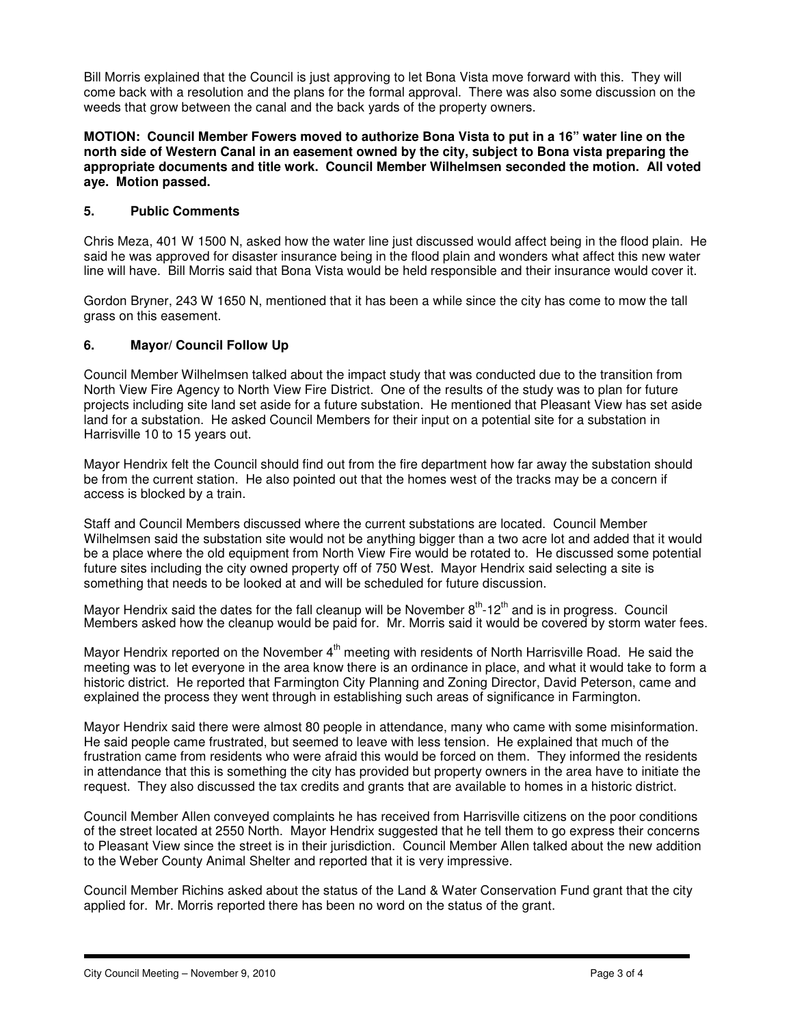Bill Morris explained that the Council is just approving to let Bona Vista move forward with this. They will come back with a resolution and the plans for the formal approval. There was also some discussion on the weeds that grow between the canal and the back yards of the property owners.

**MOTION: Council Member Fowers moved to authorize Bona Vista to put in a 16" water line on the north side of Western Canal in an easement owned by the city, subject to Bona vista preparing the appropriate documents and title work. Council Member Wilhelmsen seconded the motion. All voted aye. Motion passed.** 

# **5. Public Comments**

Chris Meza, 401 W 1500 N, asked how the water line just discussed would affect being in the flood plain. He said he was approved for disaster insurance being in the flood plain and wonders what affect this new water line will have. Bill Morris said that Bona Vista would be held responsible and their insurance would cover it.

Gordon Bryner, 243 W 1650 N, mentioned that it has been a while since the city has come to mow the tall grass on this easement.

### **6. Mayor/ Council Follow Up**

Council Member Wilhelmsen talked about the impact study that was conducted due to the transition from North View Fire Agency to North View Fire District. One of the results of the study was to plan for future projects including site land set aside for a future substation. He mentioned that Pleasant View has set aside land for a substation. He asked Council Members for their input on a potential site for a substation in Harrisville 10 to 15 years out.

Mayor Hendrix felt the Council should find out from the fire department how far away the substation should be from the current station. He also pointed out that the homes west of the tracks may be a concern if access is blocked by a train.

Staff and Council Members discussed where the current substations are located. Council Member Wilhelmsen said the substation site would not be anything bigger than a two acre lot and added that it would be a place where the old equipment from North View Fire would be rotated to. He discussed some potential future sites including the city owned property off of 750 West. Mayor Hendrix said selecting a site is something that needs to be looked at and will be scheduled for future discussion.

Mayor Hendrix said the dates for the fall cleanup will be November  $8<sup>th</sup>$ -12<sup>th</sup> and is in progress. Council Members asked how the cleanup would be paid for. Mr. Morris said it would be covered by storm water fees.

Mayor Hendrix reported on the November  $4<sup>th</sup>$  meeting with residents of North Harrisville Road. He said the meeting was to let everyone in the area know there is an ordinance in place, and what it would take to form a historic district. He reported that Farmington City Planning and Zoning Director, David Peterson, came and explained the process they went through in establishing such areas of significance in Farmington.

Mayor Hendrix said there were almost 80 people in attendance, many who came with some misinformation. He said people came frustrated, but seemed to leave with less tension. He explained that much of the frustration came from residents who were afraid this would be forced on them. They informed the residents in attendance that this is something the city has provided but property owners in the area have to initiate the request. They also discussed the tax credits and grants that are available to homes in a historic district.

Council Member Allen conveyed complaints he has received from Harrisville citizens on the poor conditions of the street located at 2550 North. Mayor Hendrix suggested that he tell them to go express their concerns to Pleasant View since the street is in their jurisdiction. Council Member Allen talked about the new addition to the Weber County Animal Shelter and reported that it is very impressive.

Council Member Richins asked about the status of the Land & Water Conservation Fund grant that the city applied for. Mr. Morris reported there has been no word on the status of the grant.